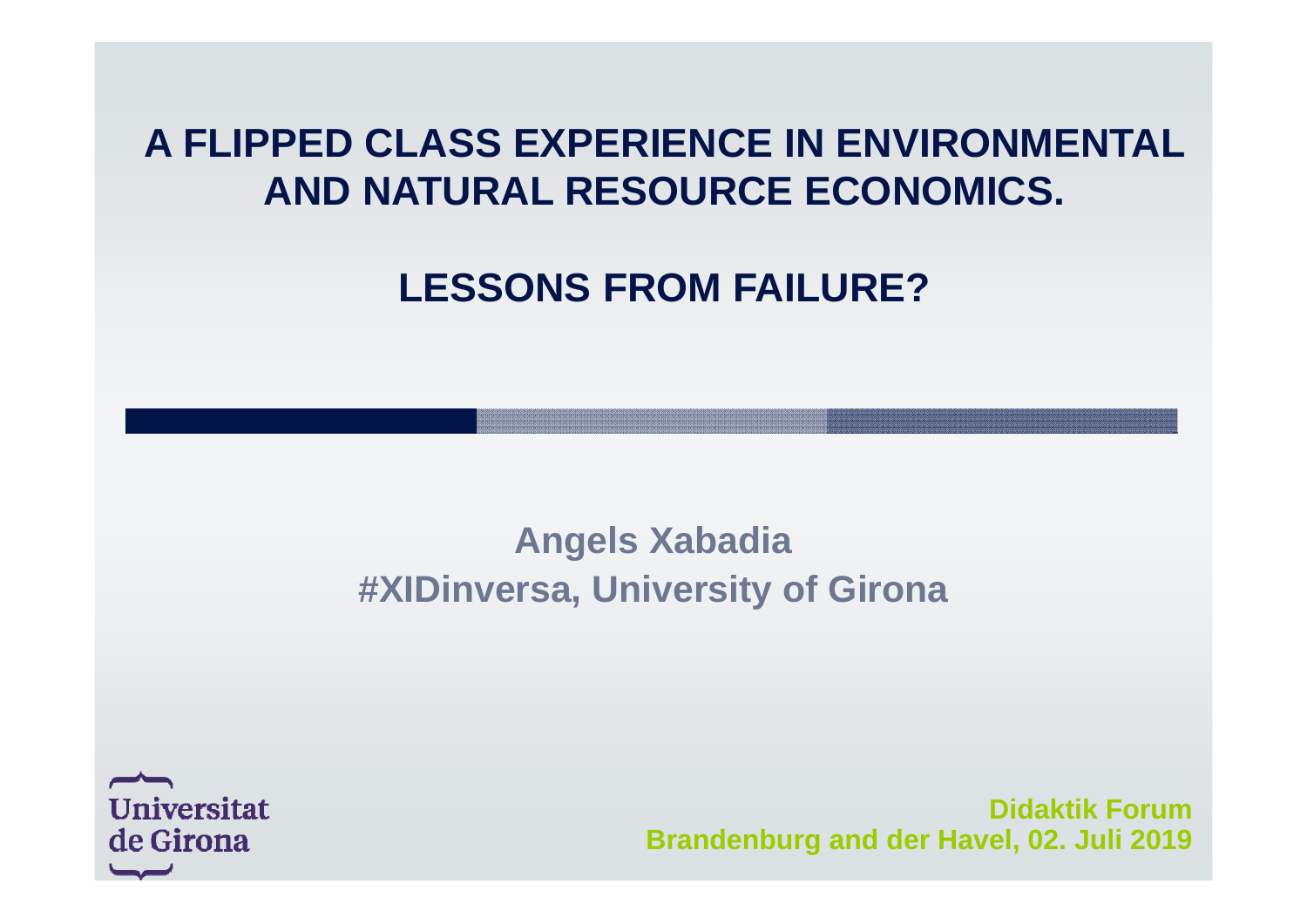### **A FLIPPED CLASS EXPERIENCE IN ENVIRONMENTAL AND NATURAL RESOURCE ECONOMICS.**

# **LESSONS FROM FAILURE?**

### **Angels Xabadia #XIDinversa, University of Girona**



**Didaktik ForumBrandenburg and der Havel, 02. Juli 2019**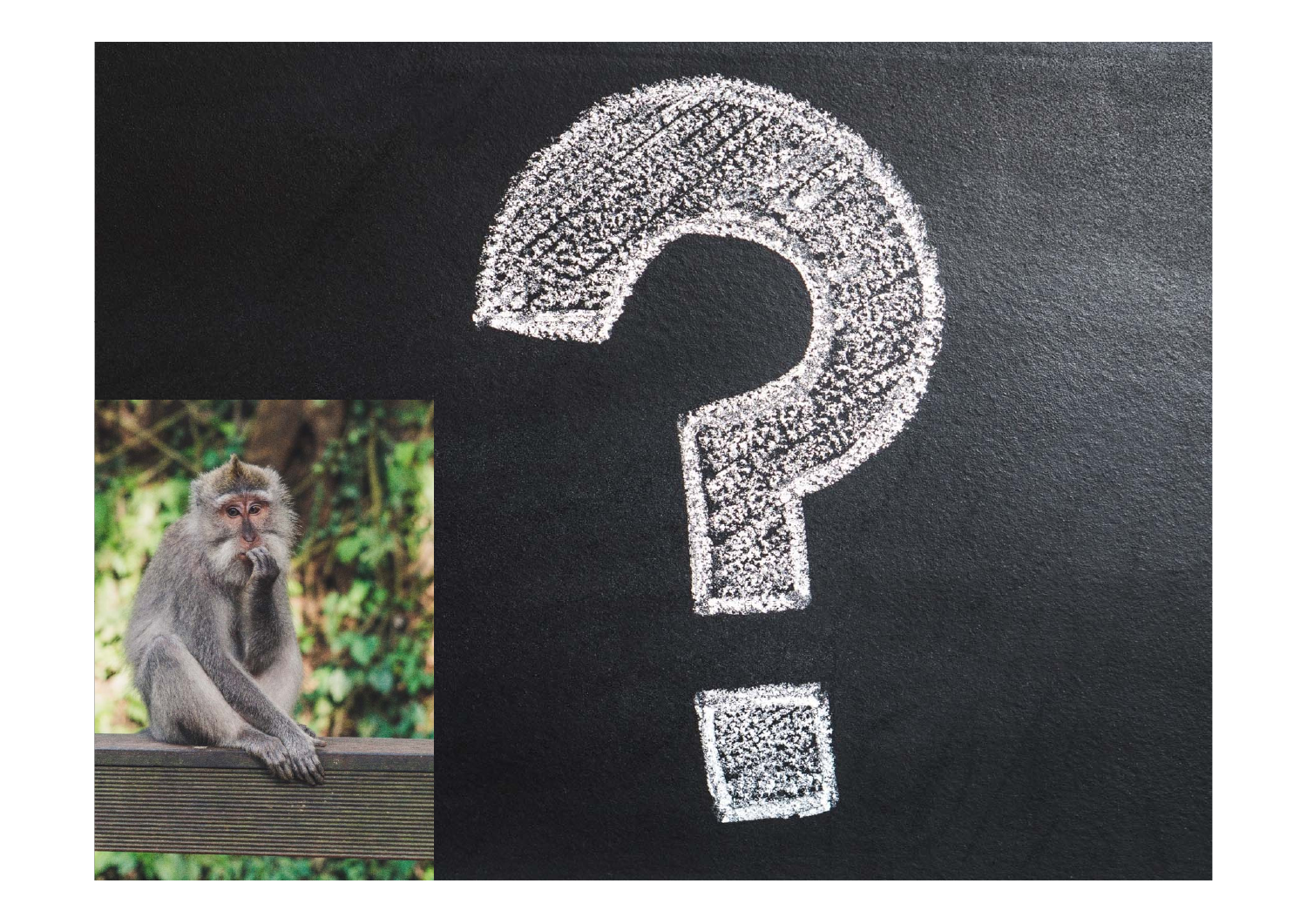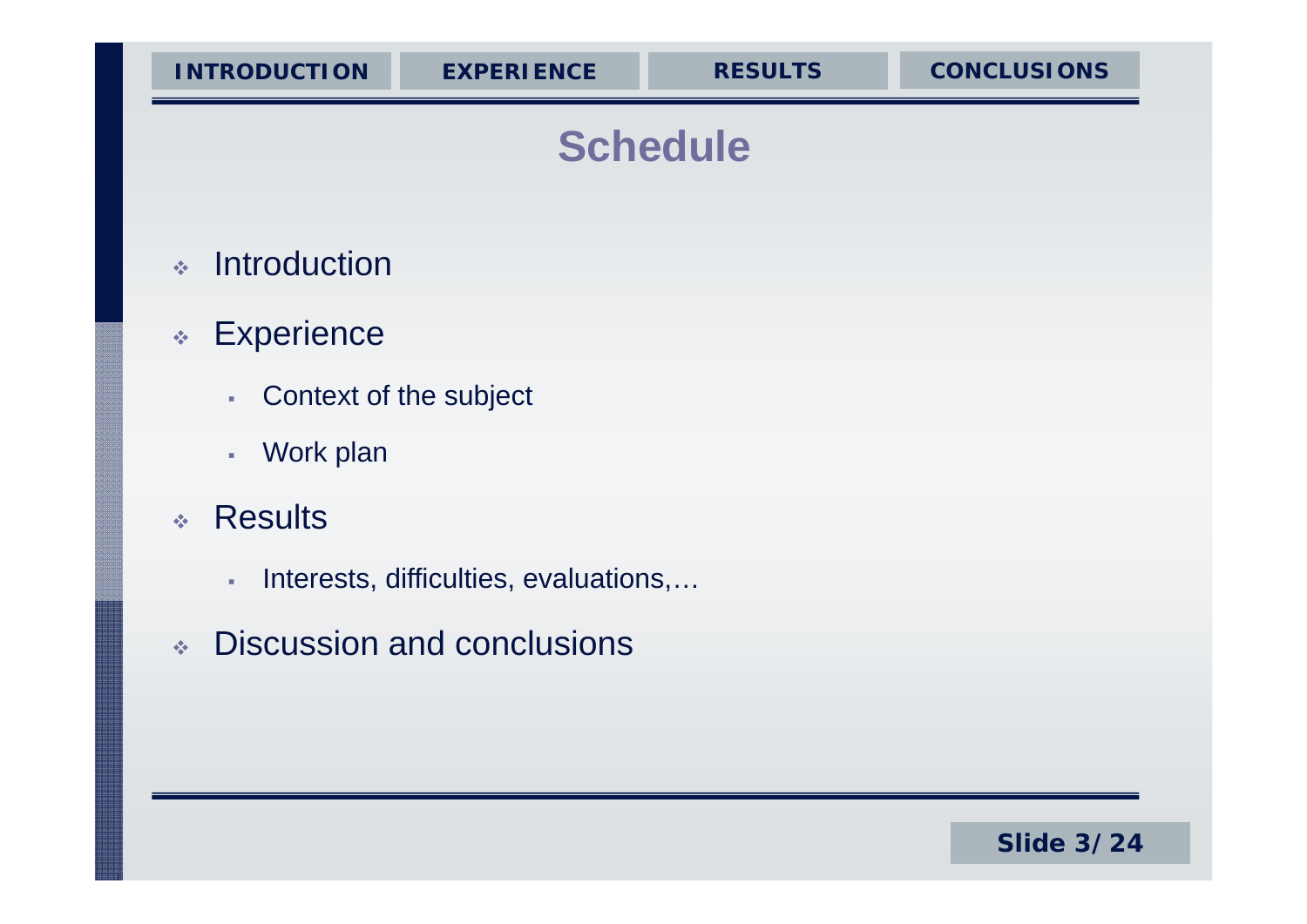| <b>INTRODUCTION</b>                | <b>EXPERIENCE</b>                     | <b>RESULTS</b> | <b>CONCLUSIONS</b> |  |  |  |  |
|------------------------------------|---------------------------------------|----------------|--------------------|--|--|--|--|
| <b>Schedule</b>                    |                                       |                |                    |  |  |  |  |
|                                    |                                       |                |                    |  |  |  |  |
| Introduction<br>$\frac{1}{2}$      |                                       |                |                    |  |  |  |  |
| <b>Experience</b><br>$\frac{1}{2}$ |                                       |                |                    |  |  |  |  |
| $\mathbf{a}$ .                     | Context of the subject                |                |                    |  |  |  |  |
| - Work plan                        |                                       |                |                    |  |  |  |  |
| <b>Results</b><br>$\frac{1}{2}$    |                                       |                |                    |  |  |  |  |
| à.                                 | Interests, difficulties, evaluations, |                |                    |  |  |  |  |
| $\frac{d^2\phi}{dt^2}$             | <b>Discussion and conclusions</b>     |                |                    |  |  |  |  |
|                                    |                                       |                |                    |  |  |  |  |
|                                    |                                       |                |                    |  |  |  |  |
|                                    |                                       |                |                    |  |  |  |  |
|                                    |                                       |                | <b>Slide 3/24</b>  |  |  |  |  |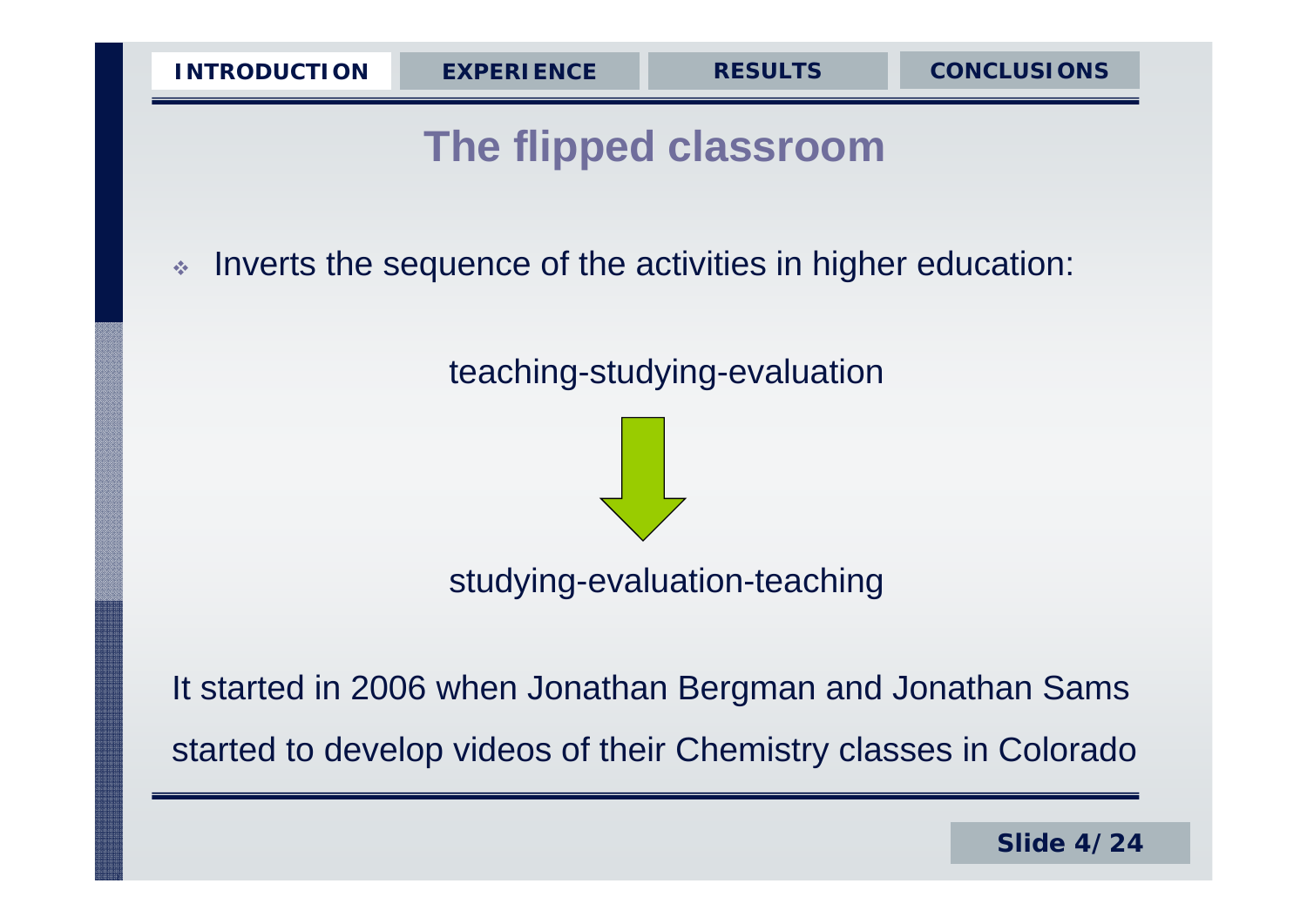

**Slide 4/24**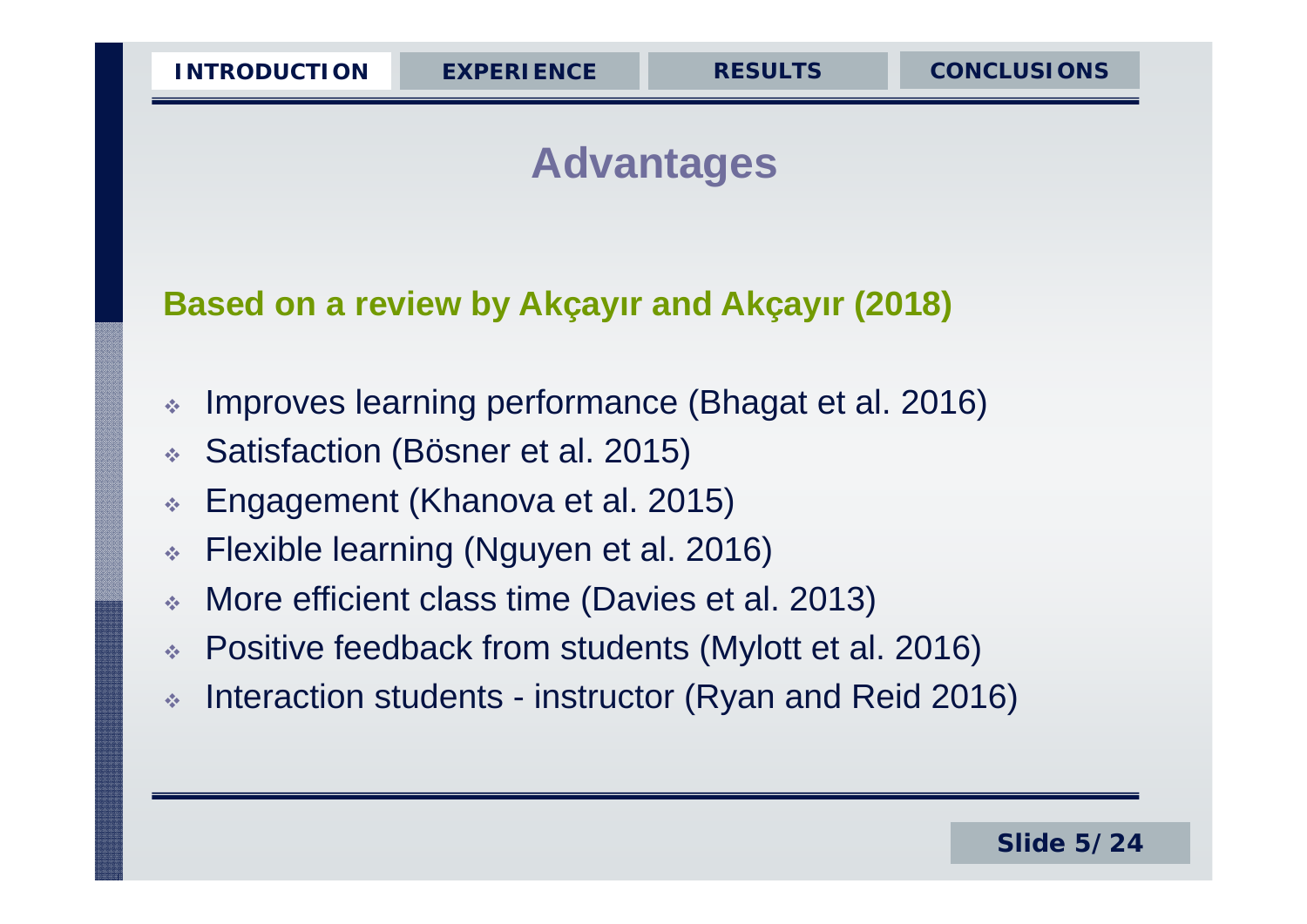# **Advantages**

#### **Based on <sup>a</sup> review by Akçayı<sup>r</sup> and Akçayı<sup>r</sup> (2018)**

- Improves learning performance (Bhagat et al. 2016)
- Satisfaction (Bösner et al. 2015)
- $\frac{1}{2}$ Engagement (Khanova et al. 2015)
- $\frac{1}{2} \frac{1}{2} \frac{1}{2}$ Flexible learning (Nguyen et al. 2016)
- More efficient class time (Davies et al. 2013)
- Positive feedback from students (Mylott et al. 2016)
- Interaction students instructor (Ryan and Reid 2016)

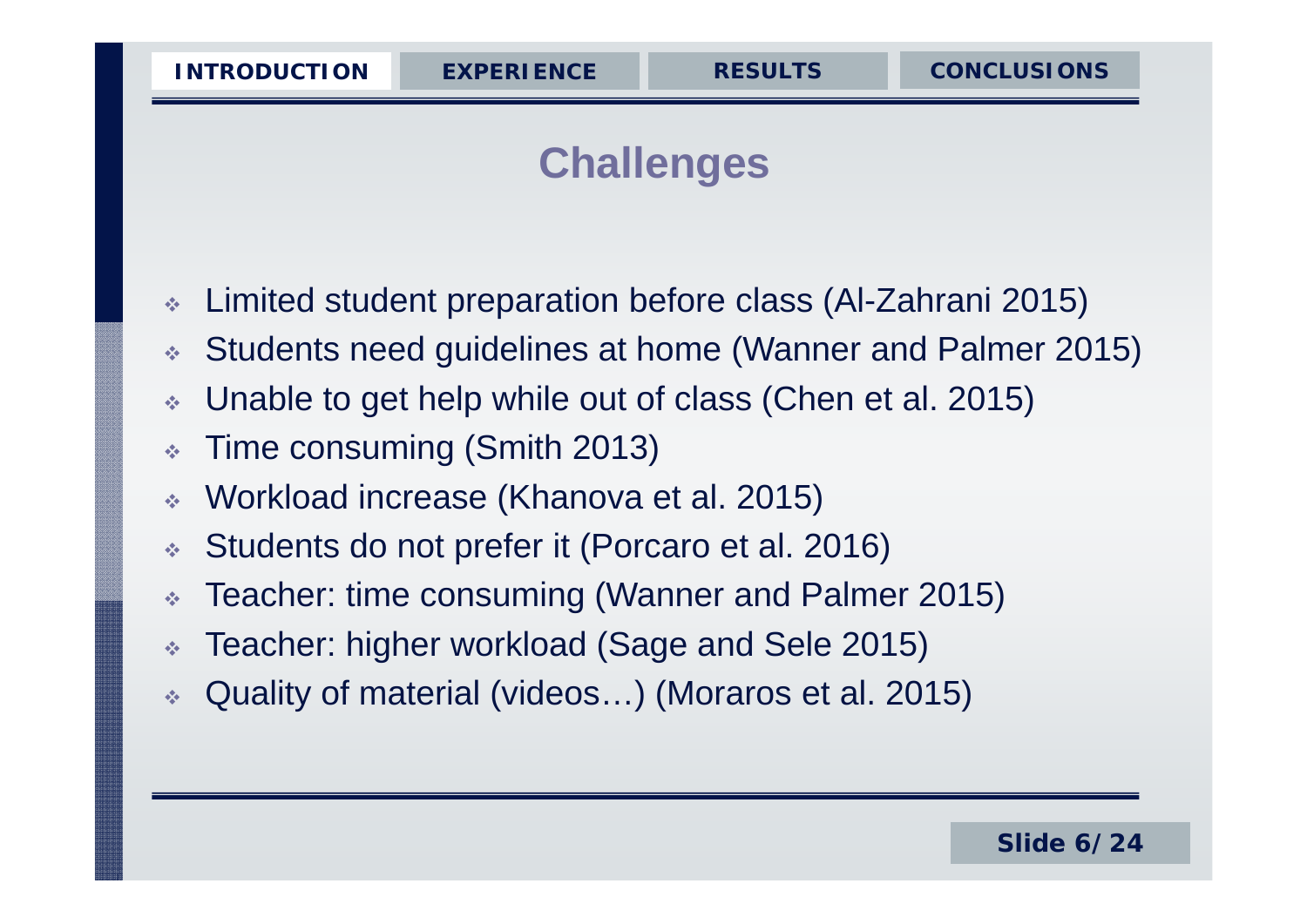# **Challenges**

- Limited student preparation before class (Al-Zahrani 2015)
- Students need guidelines at home (Wanner and Palmer 2015)
- $\frac{1}{2}$ Unable to get help while out of class (Chen et al. 2015)
- $\frac{1}{2}$ Time consuming (Smith 2013)
- $\mathcal{L}$ Workload increase (Khanova et al. 2015)
- Students do not prefer it (Porcaro et al. 2016)
- Teacher: time consuming (Wanner and Palmer 2015)
- $\frac{1}{2} \frac{1}{2} \frac{1}{2}$ Teacher: higher workload (Sage and Sele 2015)
- $\frac{d^2\phi}{dt^2}$ Quality of material (videos…) (Moraros et al. 2015)

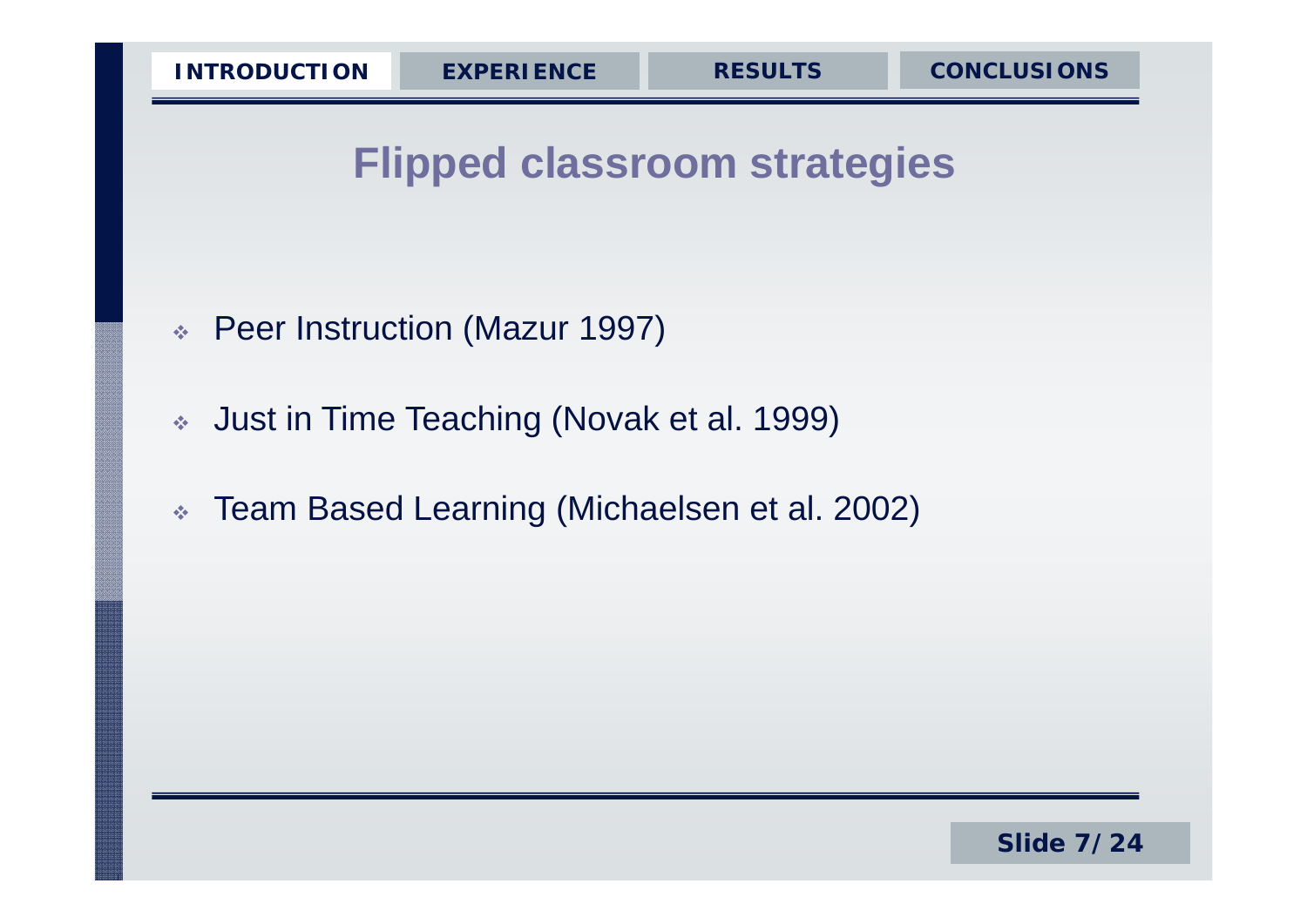

**Slide 7/24**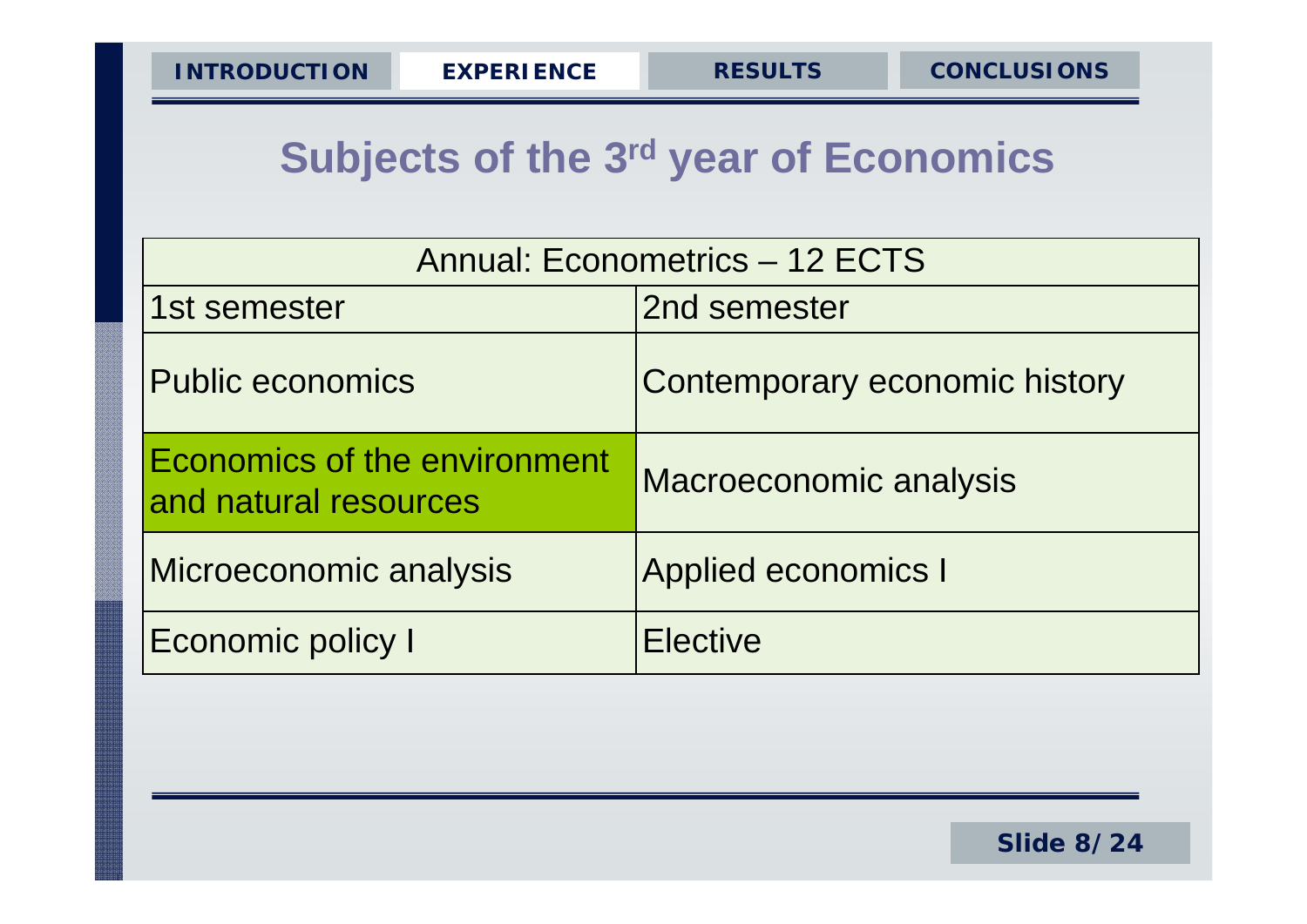## **Subjects of the 3rd year of Economics**

| <b>Annual: Econometrics - 12 ECTS</b>                        |                               |  |  |  |
|--------------------------------------------------------------|-------------------------------|--|--|--|
| 1st semester                                                 | 2nd semester                  |  |  |  |
| <b>Public economics</b>                                      | Contemporary economic history |  |  |  |
| <b>Economics of the environment</b><br>and natural resources | <b>Macroeconomic analysis</b> |  |  |  |
| Microeconomic analysis                                       | <b>Applied economics I</b>    |  |  |  |
| <b>Economic policy I</b>                                     | <b>Elective</b>               |  |  |  |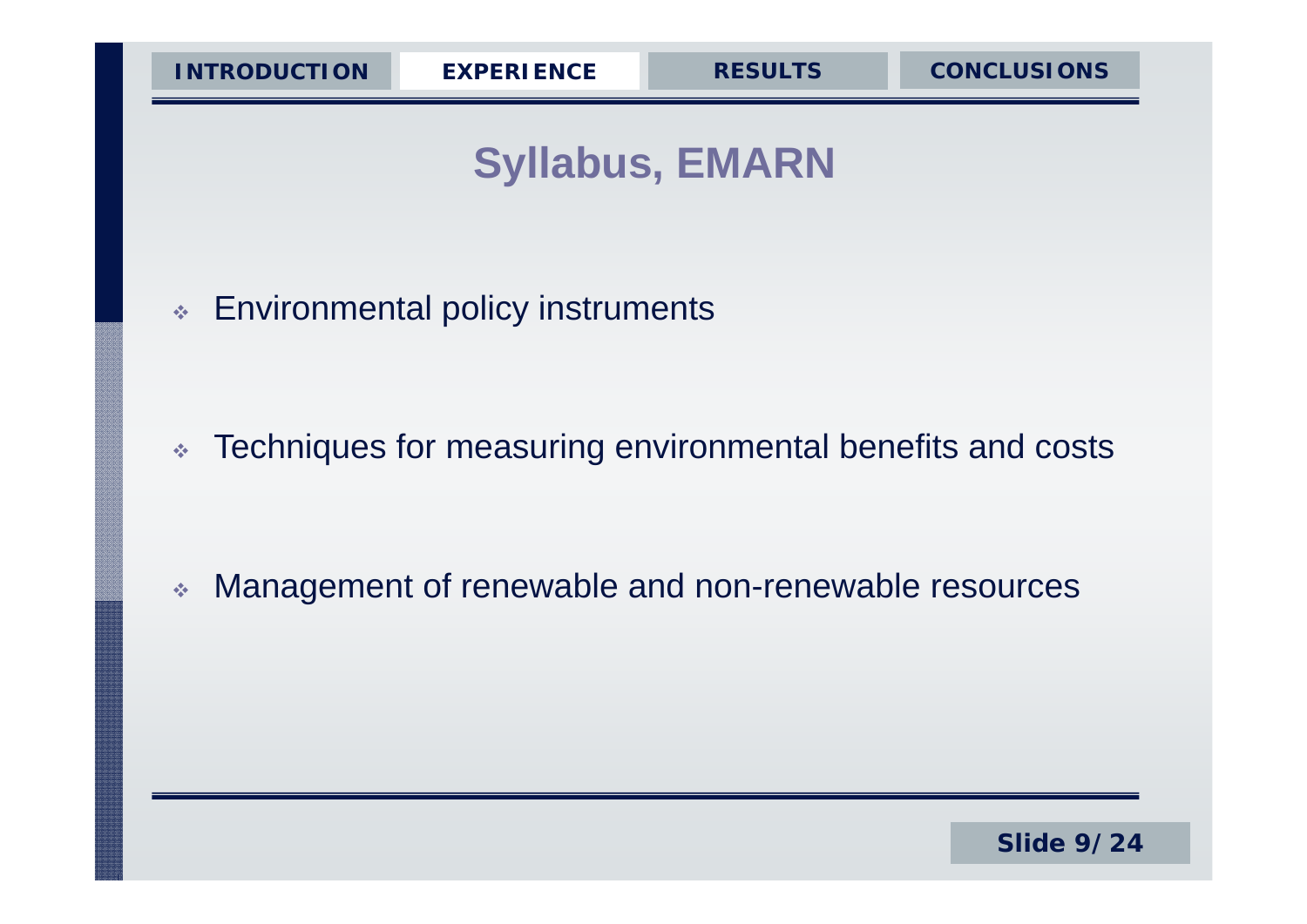![](_page_8_Figure_0.jpeg)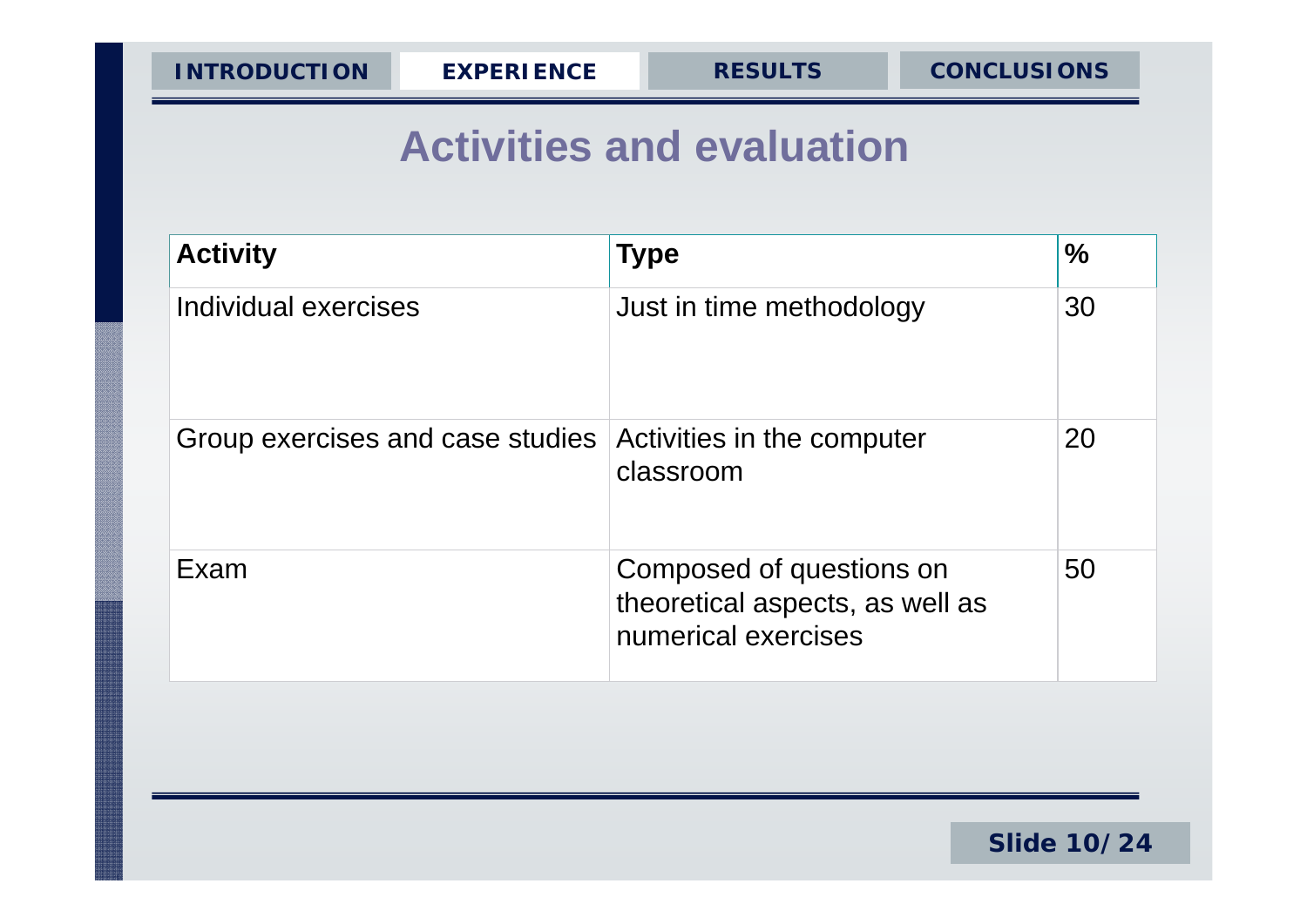#### **Activities and evaluation**

| <b>Activity</b>                  | <b>Type</b>                                                                        | $\frac{0}{0}$ |
|----------------------------------|------------------------------------------------------------------------------------|---------------|
| Individual exercises             | Just in time methodology                                                           | 30            |
| Group exercises and case studies | Activities in the computer<br>classroom                                            | 20            |
| Exam                             | Composed of questions on<br>theoretical aspects, as well as<br>numerical exercises | 50            |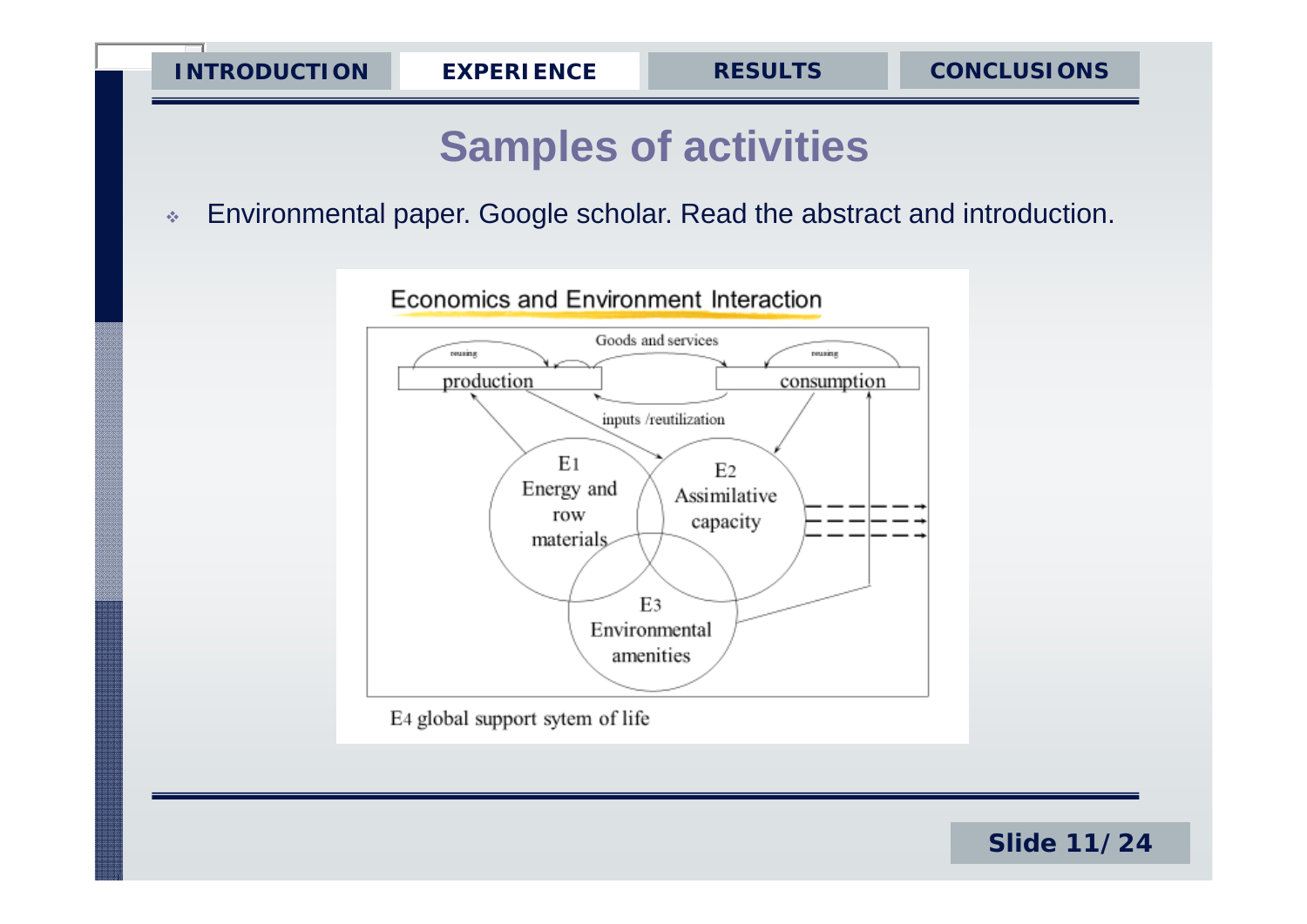### **Samples of activities**

 $\hat{\sigma}_{\hat{\Phi}}^{\hat{\Phi}}$ Environmental paper. Google scholar. Read the abstract and introduction.

![](_page_10_Figure_6.jpeg)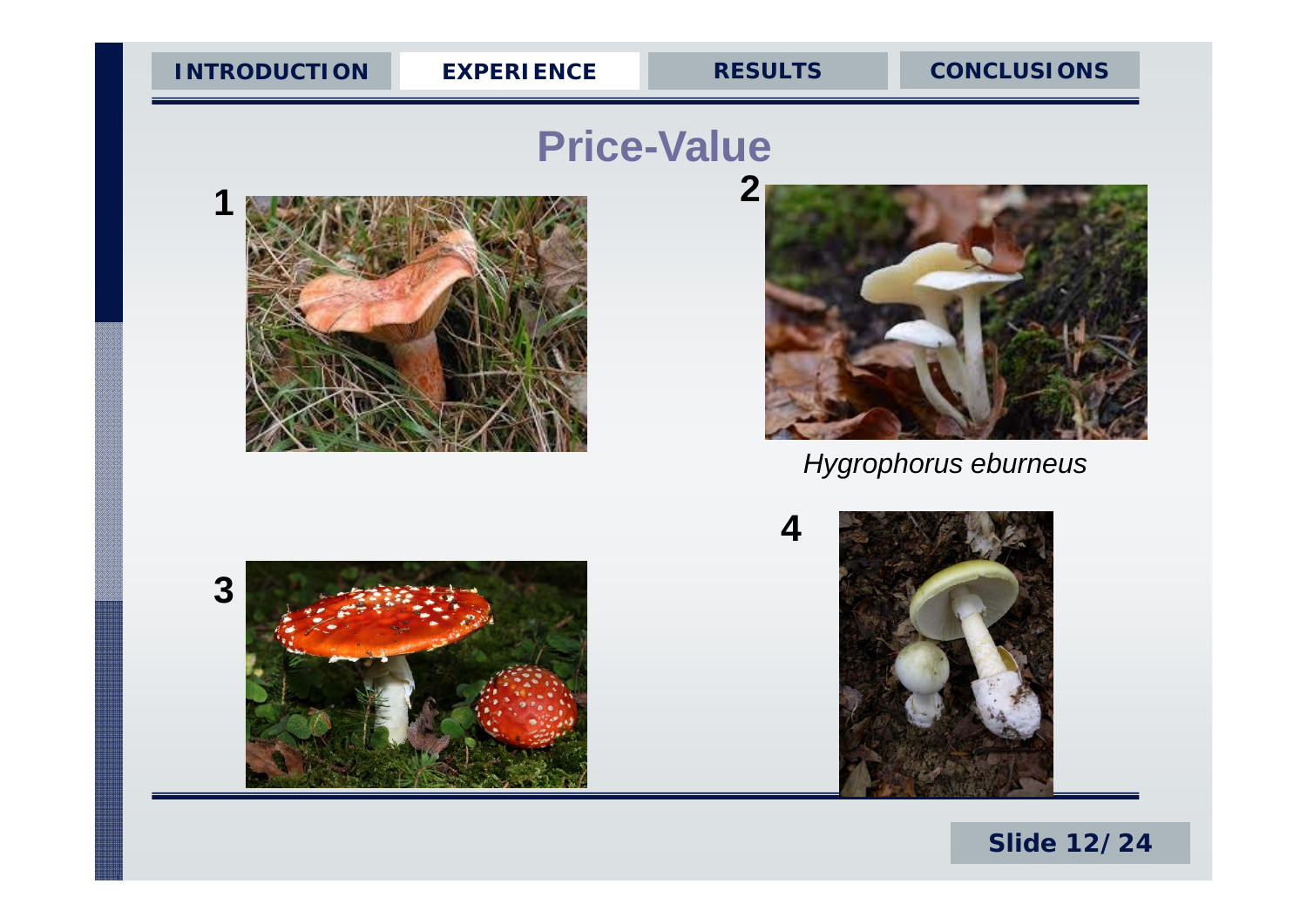**4**

### **Price-Value**

![](_page_11_Picture_5.jpeg)

![](_page_11_Picture_6.jpeg)

*Hygrophorus eburneus*

![](_page_11_Picture_8.jpeg)

![](_page_11_Picture_9.jpeg)

**Slide 12/24**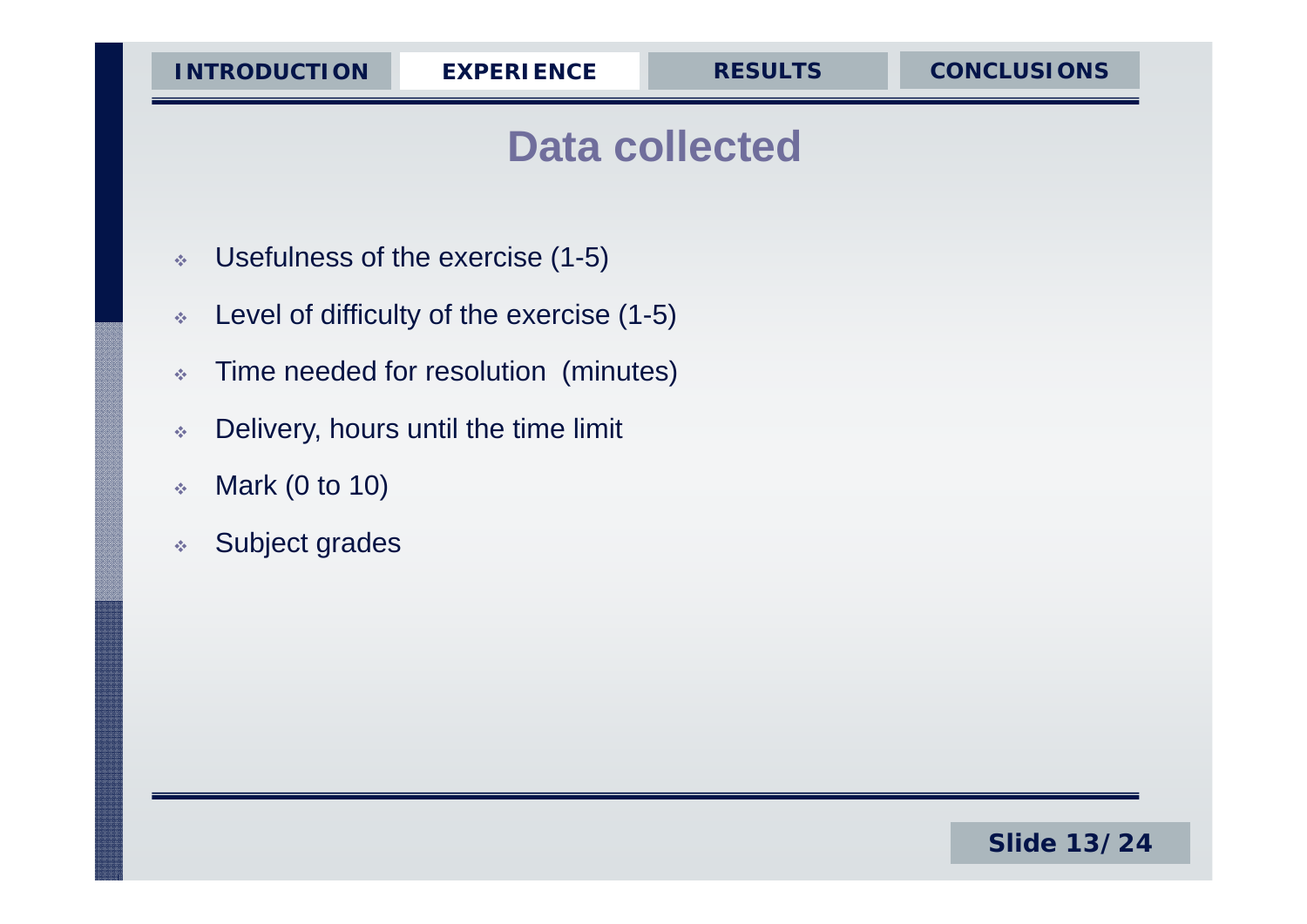![](_page_12_Figure_0.jpeg)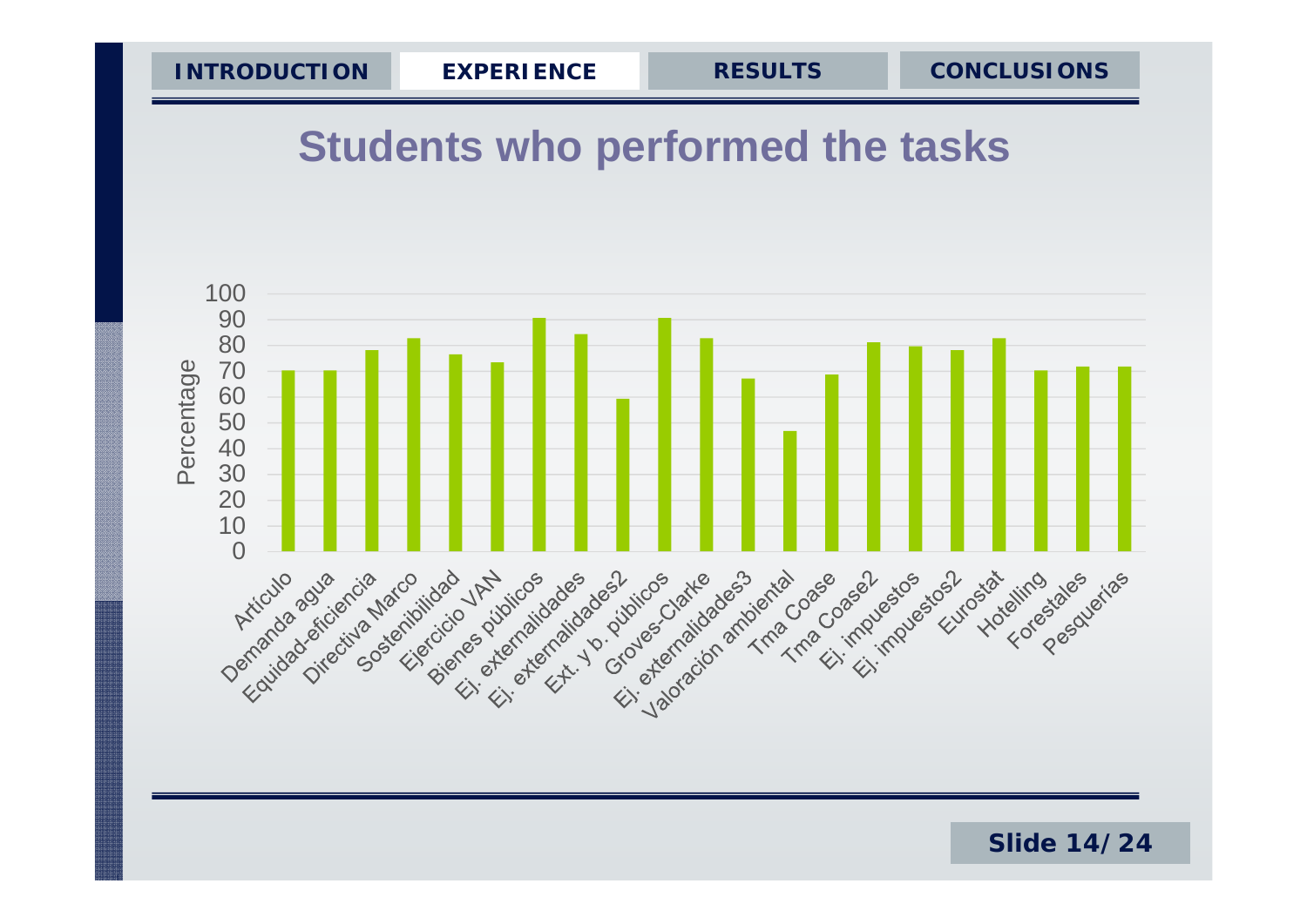### **Students who performed the tasks**

![](_page_13_Figure_5.jpeg)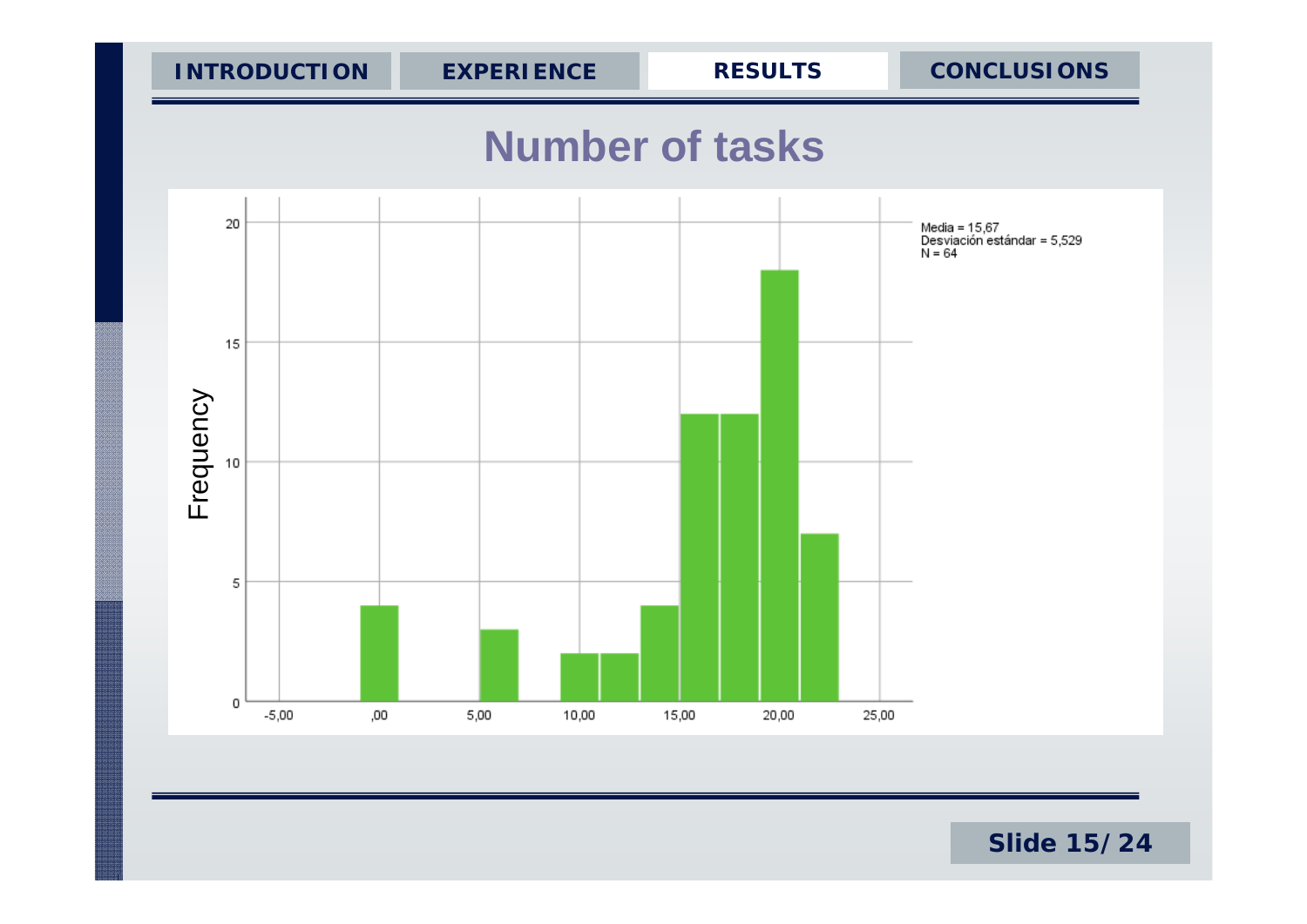![](_page_14_Figure_0.jpeg)

**Slide 15/24**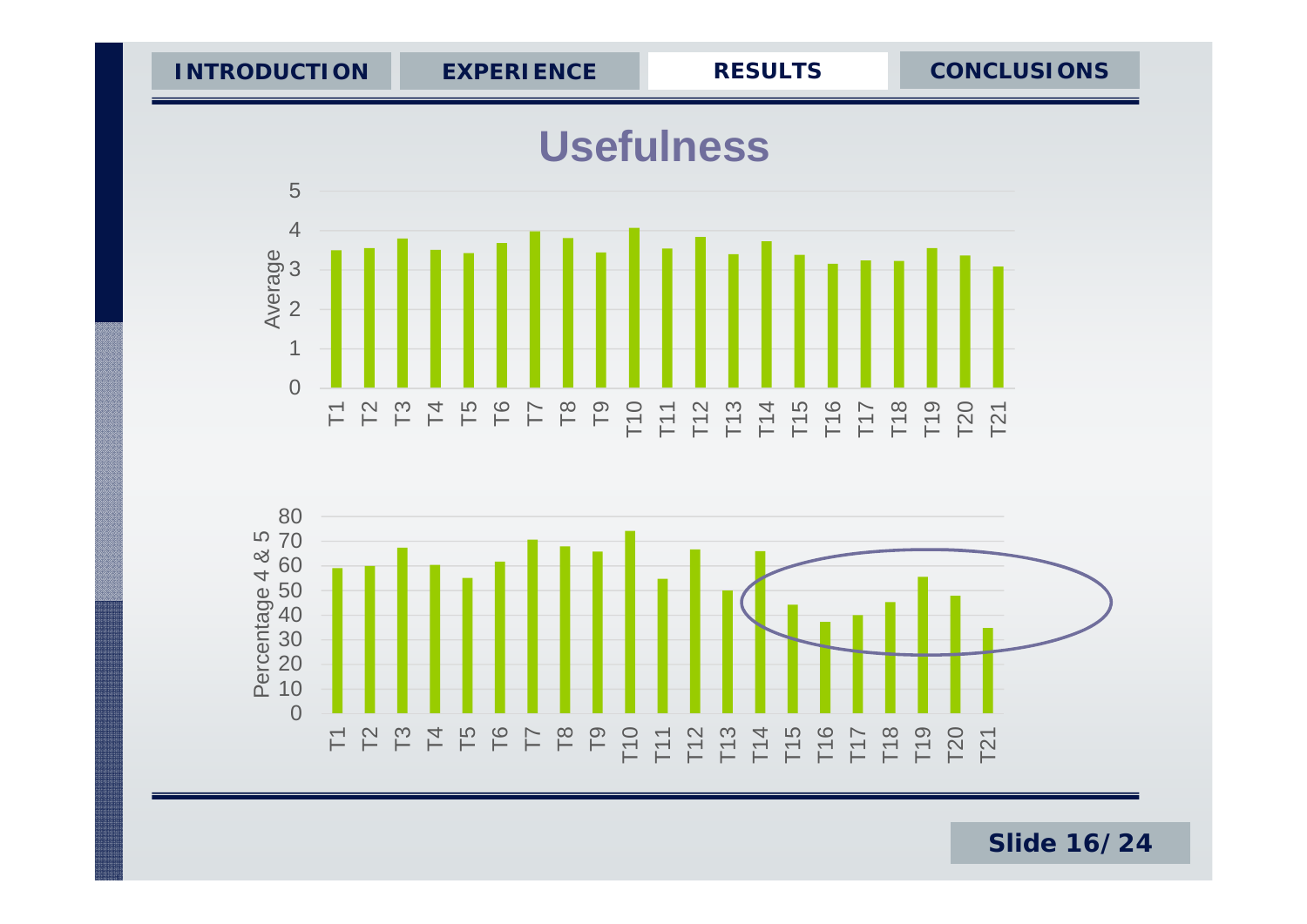![](_page_15_Figure_0.jpeg)

**Slide 16/24**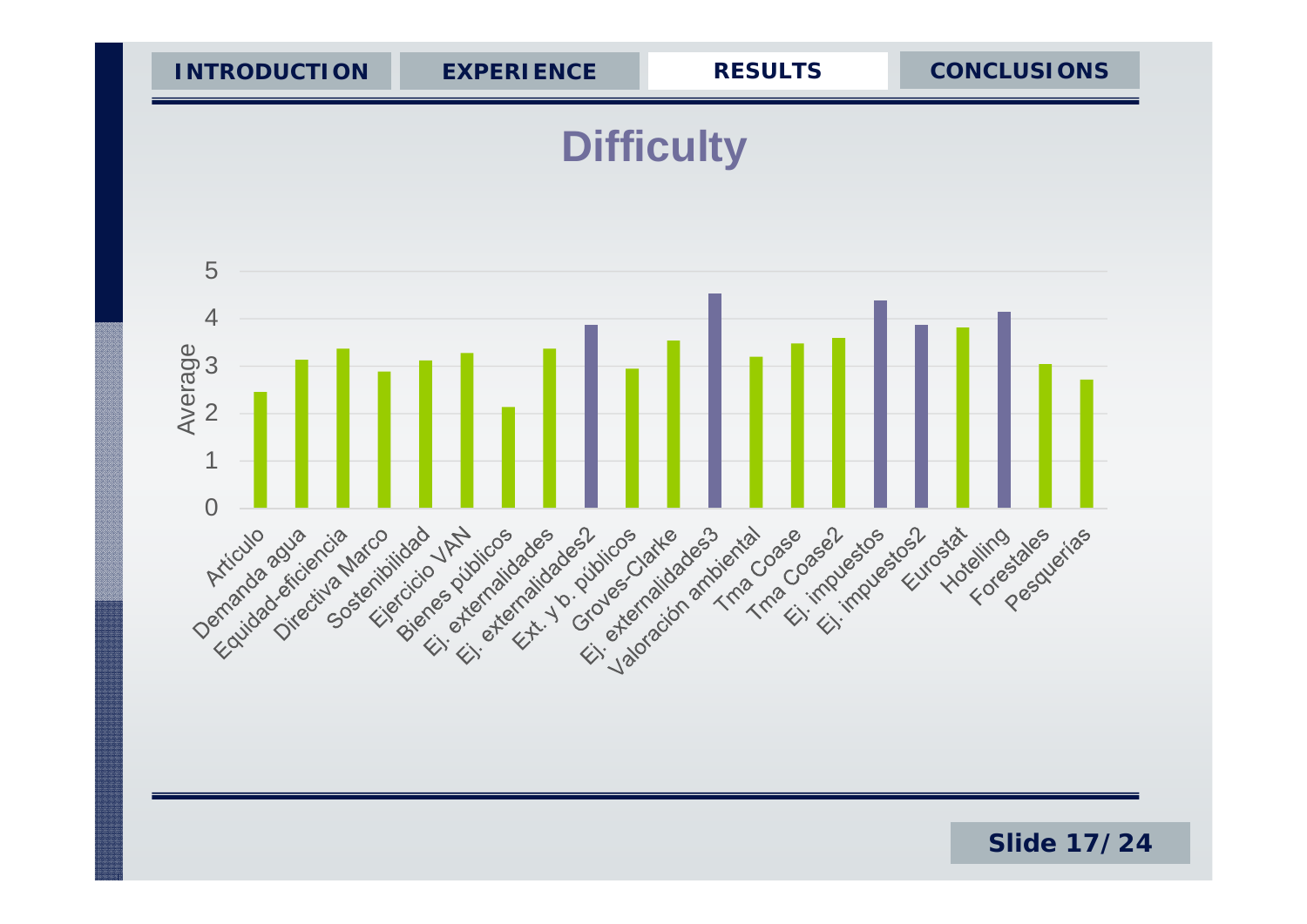![](_page_16_Figure_0.jpeg)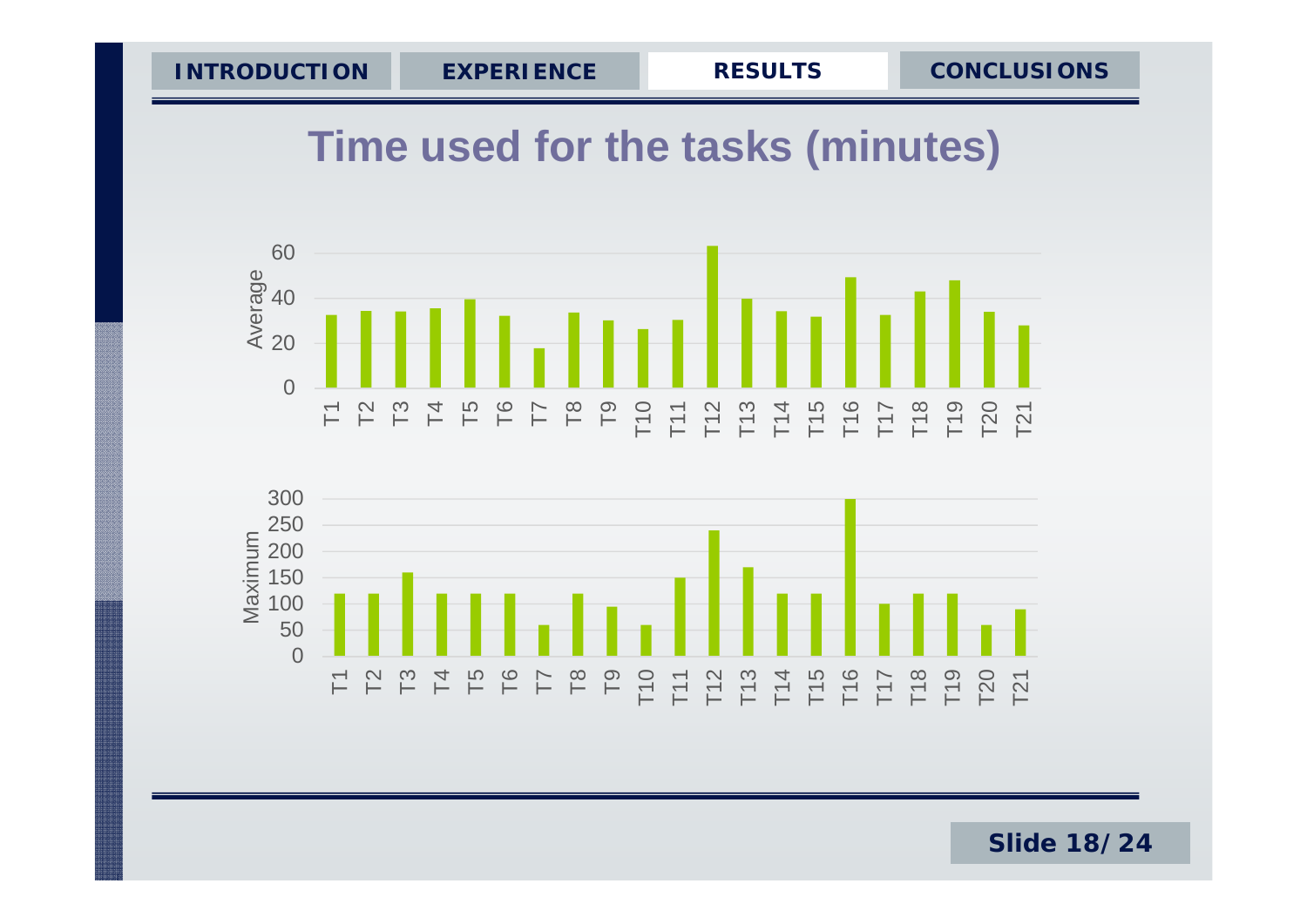#### **Time used for the tasks (minutes)**

![](_page_17_Figure_5.jpeg)

![](_page_17_Figure_6.jpeg)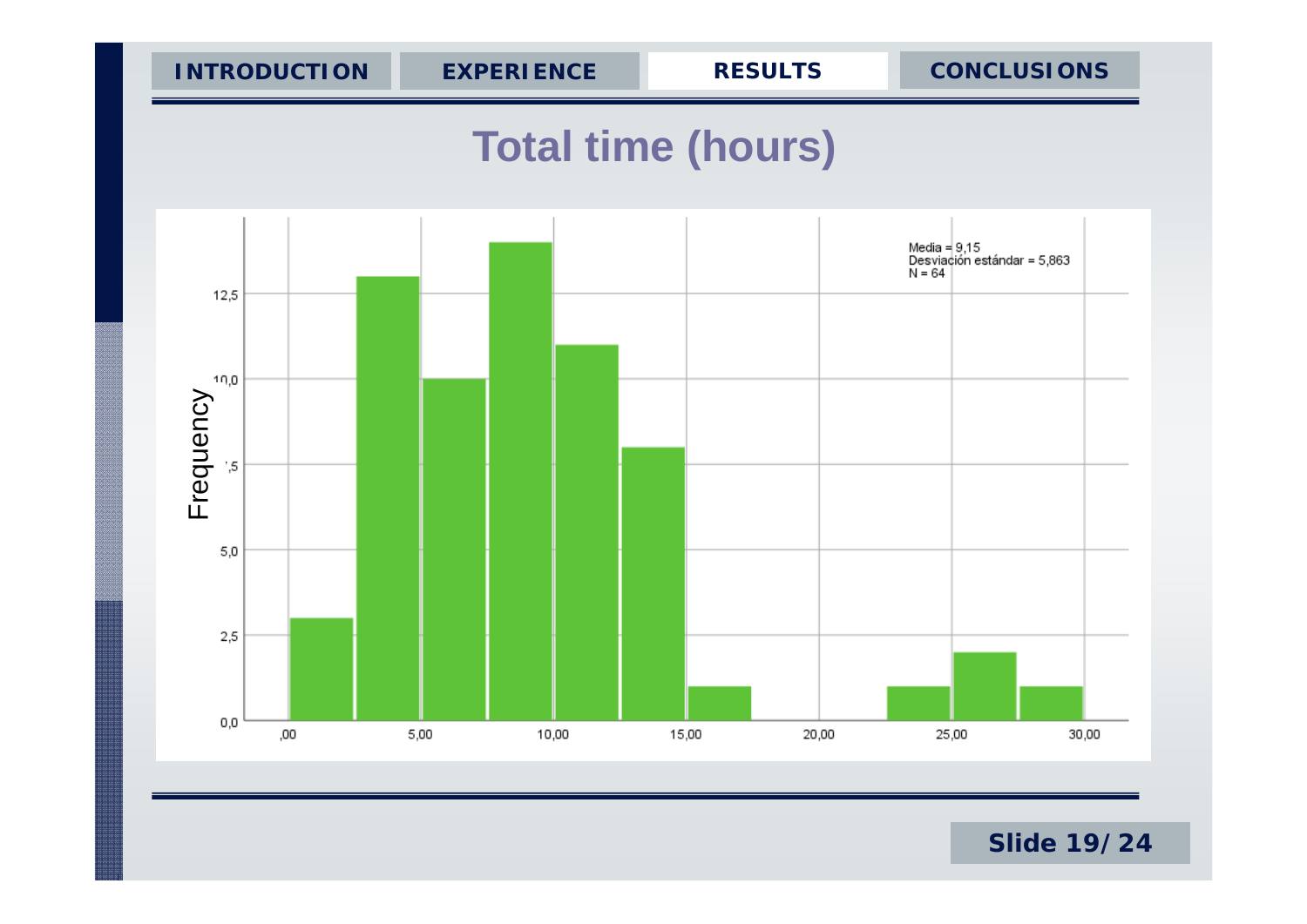![](_page_18_Figure_0.jpeg)

**Slide 19/24**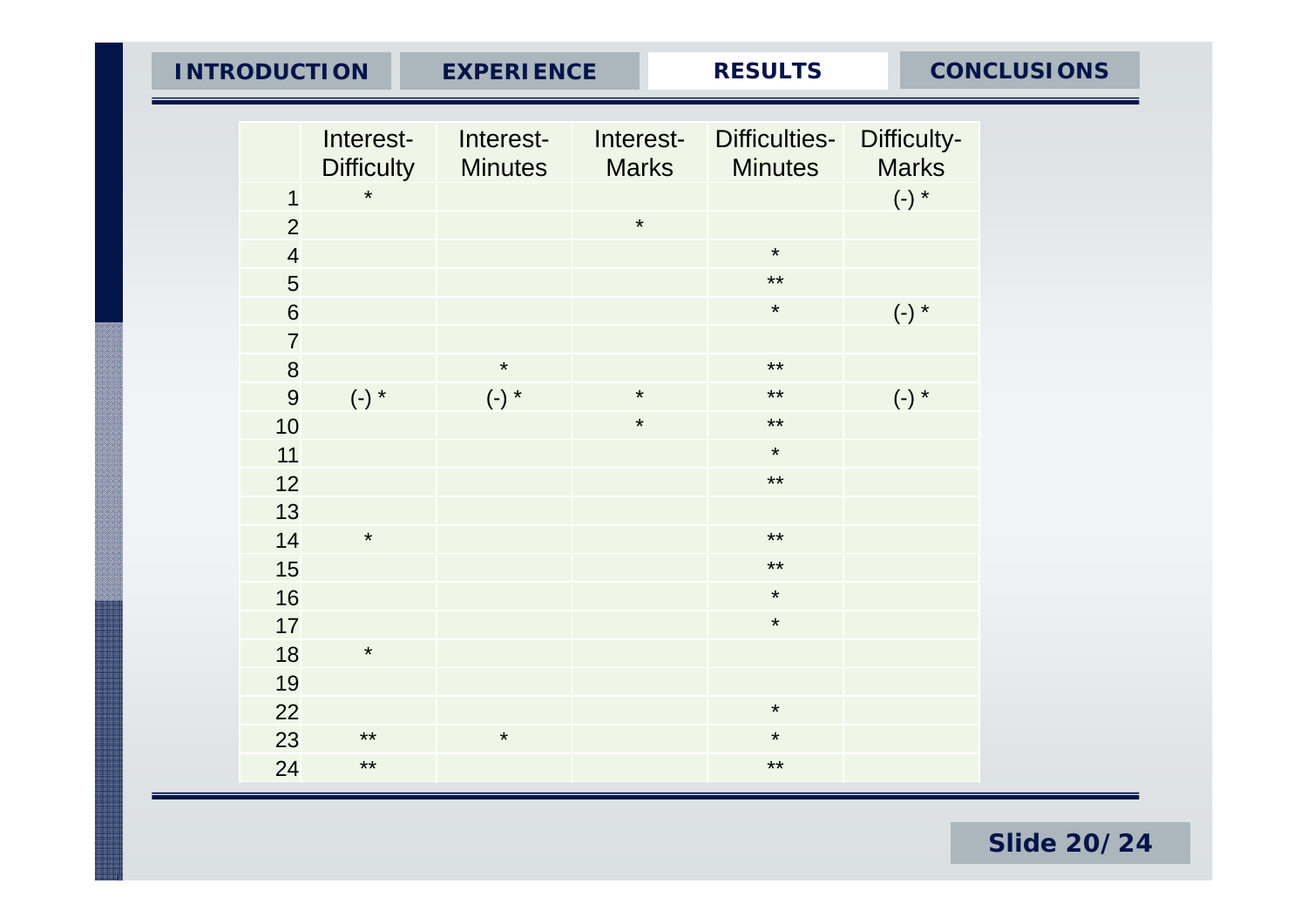| <b>INTRODUCTION</b> |                |           | <b>EXPERIENCE</b>               |                           | <b>RESULTS</b>                              |              | <b>CONCLUSIONS</b> |
|---------------------|----------------|-----------|---------------------------------|---------------------------|---------------------------------------------|--------------|--------------------|
|                     |                | Interest- | Interest-<br>Difficulty Minutes | Interest-<br><b>Marks</b> | Difficulties- Difficulty-<br><b>Minutes</b> | <b>Marks</b> |                    |
|                     | $\mathbf 1$    | $\star$   |                                 |                           |                                             | $(-)$ *      |                    |
|                     | $\overline{2}$ |           |                                 | $\star$                   |                                             |              |                    |
|                     | $\overline{4}$ |           |                                 |                           | $\star$                                     |              |                    |
|                     | 5              |           |                                 |                           | $***$                                       |              |                    |
|                     | 6              |           |                                 |                           | $\star$                                     | $(-)$ *      |                    |
|                     | $\overline{7}$ |           |                                 |                           |                                             |              |                    |
|                     | 8              |           | $\star$                         |                           | $***$                                       |              |                    |
|                     | 9              | $(-)$ *   | $(-)$ *                         | $\star$                   | $***$                                       | $(-)$ *      |                    |
|                     | 10             |           |                                 | $\star$                   | $***$                                       |              |                    |
|                     | 11             |           |                                 |                           | $\star$                                     |              |                    |
|                     | 12             |           |                                 |                           | $***$                                       |              |                    |
|                     | 13             |           |                                 |                           |                                             |              |                    |
|                     | 14             | $\star$   |                                 |                           | $***$                                       |              |                    |
|                     | 15             |           |                                 |                           | $***$                                       |              |                    |
|                     | 16             |           |                                 |                           | $\star$<br>$\star$                          |              |                    |
|                     | 17             | $\star$   |                                 |                           |                                             |              |                    |
|                     | 18             |           |                                 |                           |                                             |              |                    |
|                     | 19             |           |                                 |                           | $\star$                                     |              |                    |
|                     | 22             | $***$     | $\star$                         |                           | $\star$                                     |              |                    |
|                     | 23             | $***$     |                                 |                           | $***$                                       |              |                    |
|                     | 24             |           |                                 |                           |                                             |              |                    |

**Slide 20/24**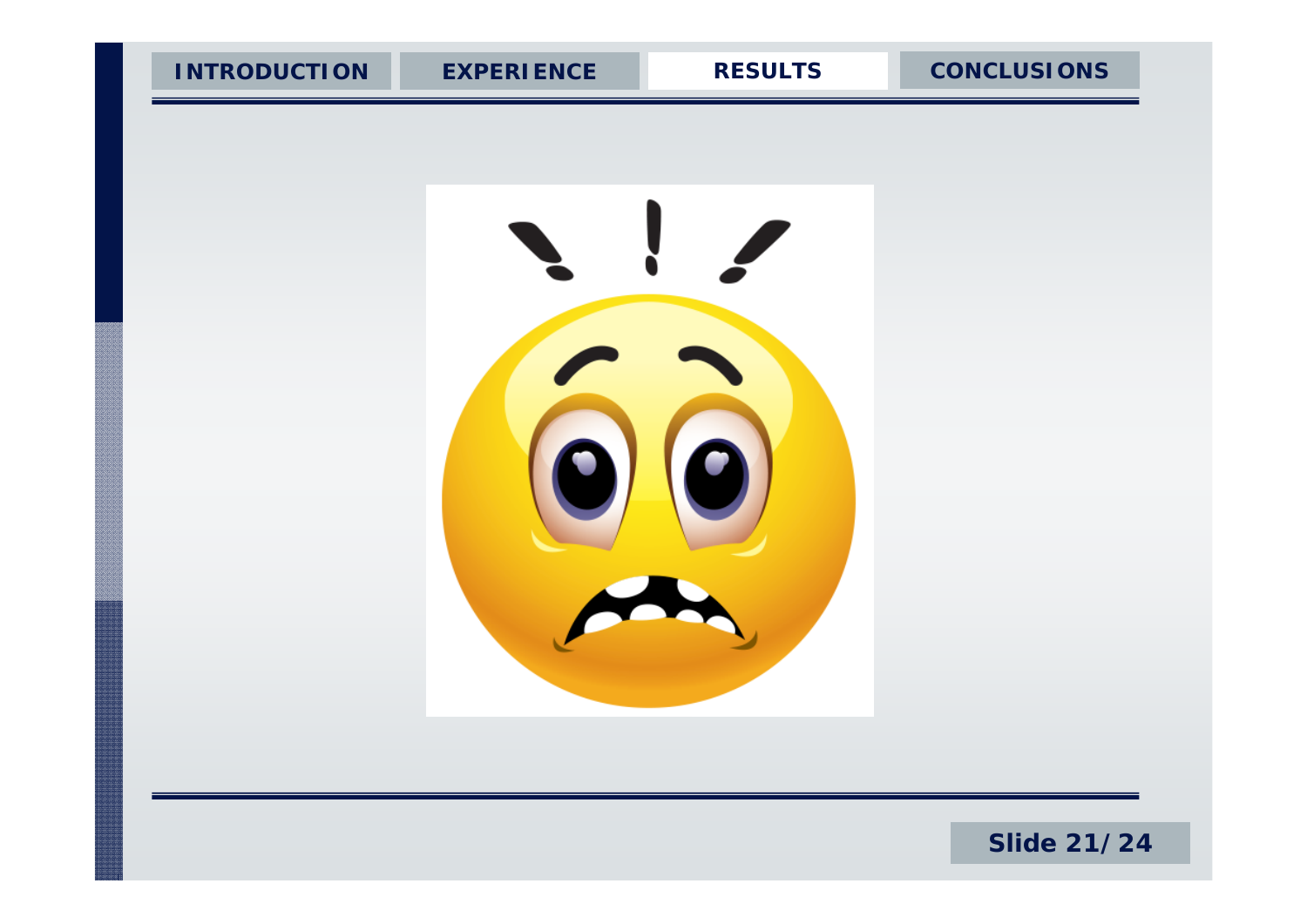![](_page_20_Figure_0.jpeg)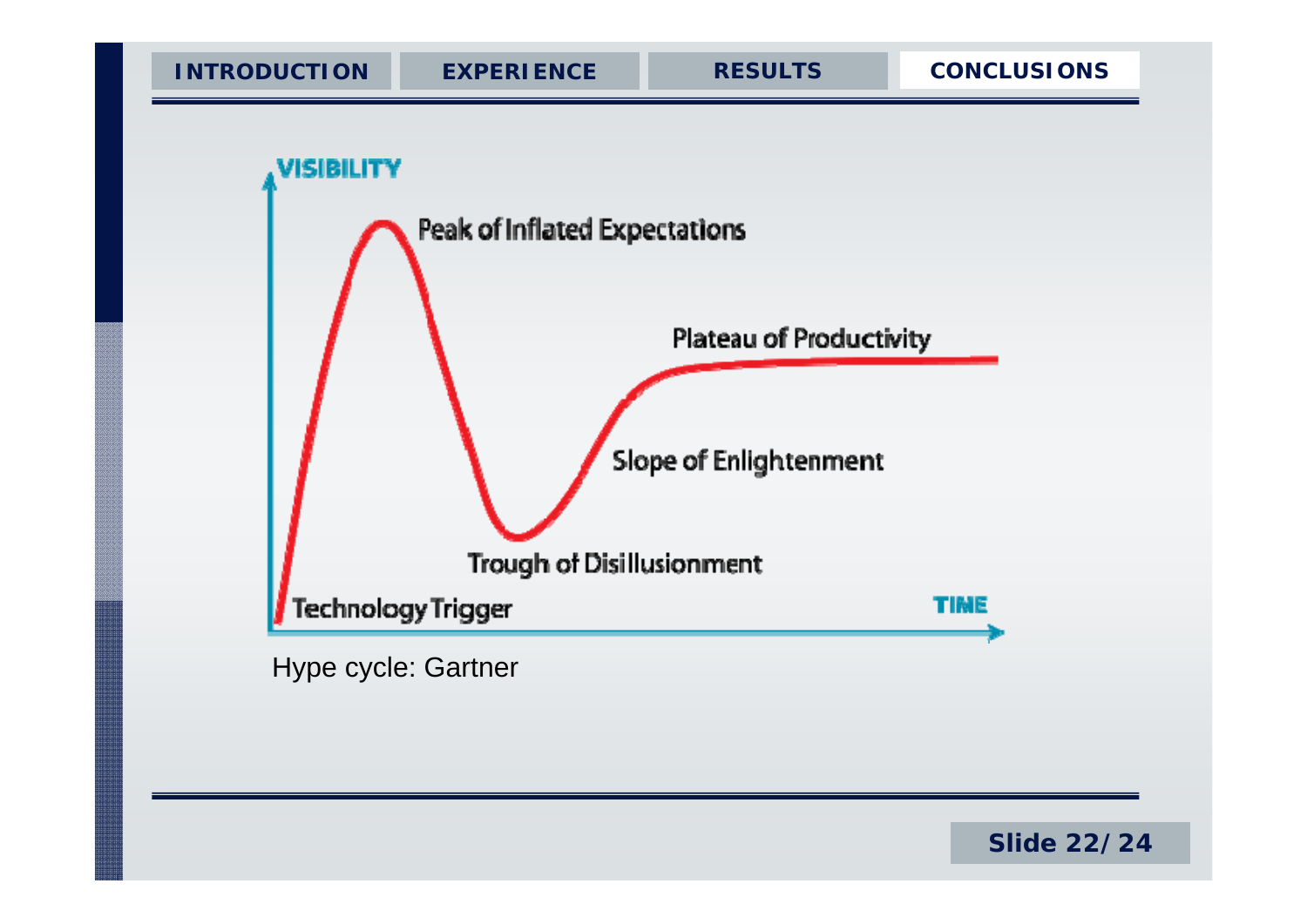![](_page_21_Figure_0.jpeg)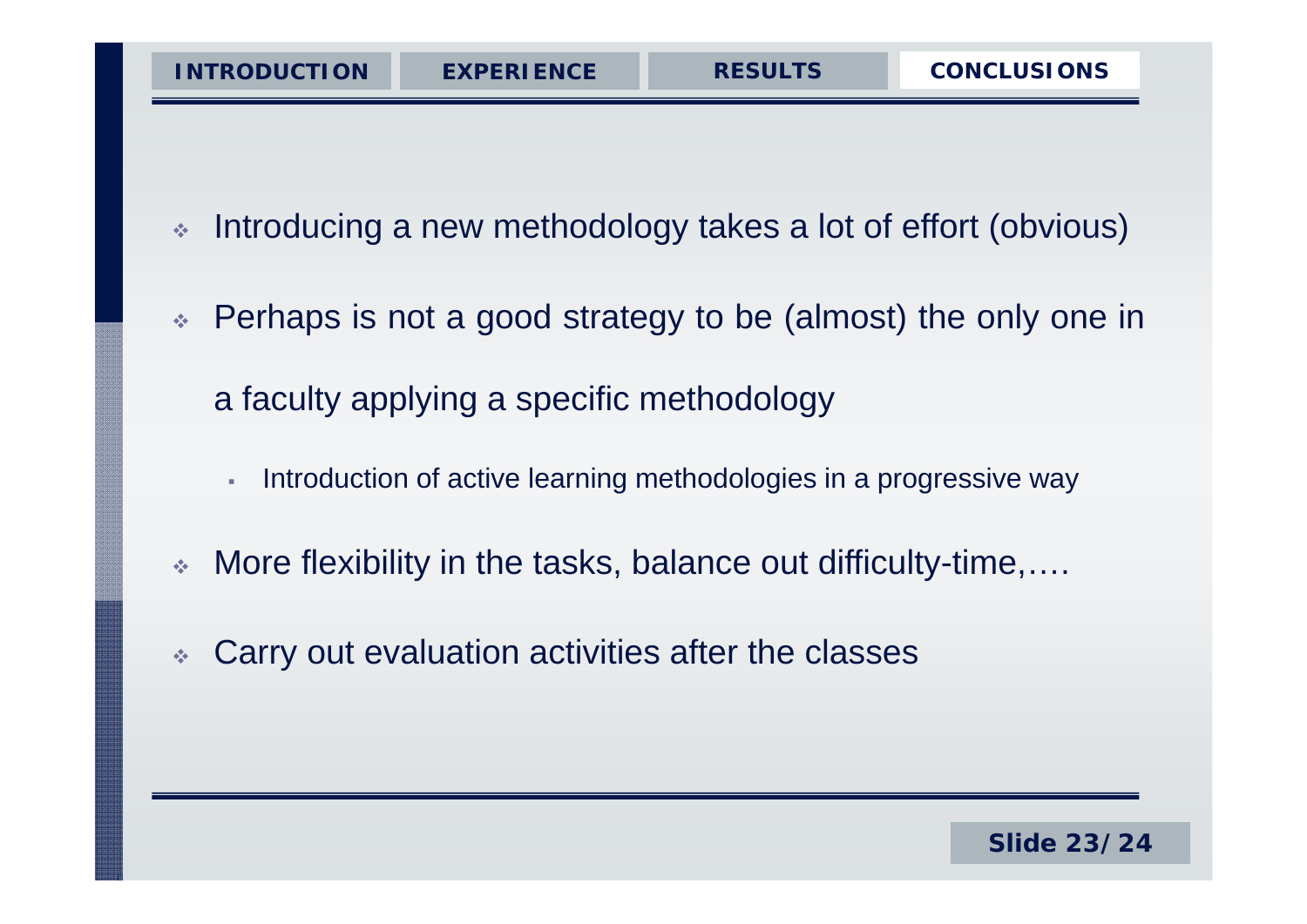![](_page_22_Figure_0.jpeg)